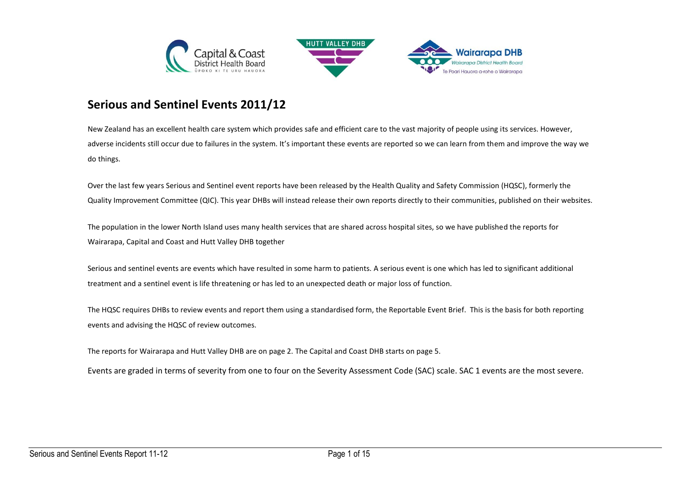

# **Serious and Sentinel Events 2011/12**

New Zealand has an excellent health care system which provides safe and efficient care to the vast majority of people using its services. However, adverse incidents still occur due to failures in the system. It's important these events are reported so we can learn from them and improve the way we do things.

Over the last few years Serious and Sentinel event reports have been released by the Health Quality and Safety Commission (HQSC), formerly the Quality Improvement Committee (QIC). This year DHBs will instead release their own reports directly to their communities, published on their websites.

The population in the lower North Island uses many health services that are shared across hospital sites, so we have published the reports for Wairarapa, Capital and Coast and Hutt Valley DHB together

Serious and sentinel events are events which have resulted in some harm to patients. A serious event is one which has led to significant additional treatment and a sentinel event is life threatening or has led to an unexpected death or major loss of function.

The HQSC requires DHBs to review events and report them using a standardised form, the Reportable Event Brief. This is the basis for both reporting events and advising the HQSC of review outcomes.

The reports for Wairarapa and Hutt Valley DHB are on page 2. The Capital and Coast DHB starts on page 5.

Events are graded in terms of severity from one to four on the Severity Assessment Code (SAC) scale. SAC 1 events are the most severe.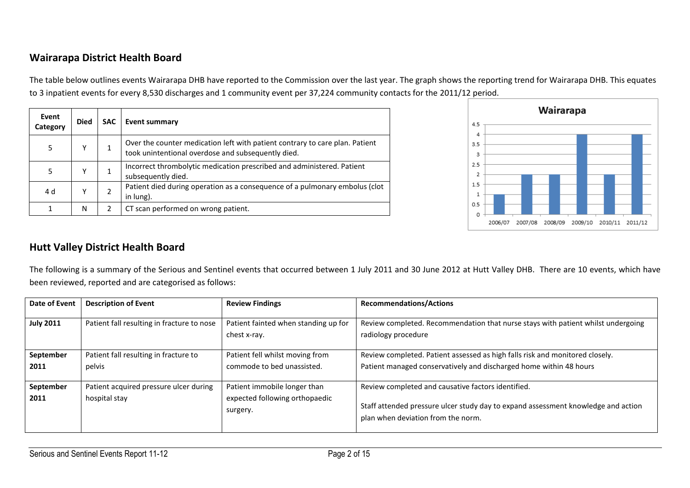# **Wairarapa District Health Board**

The table below outlines events Wairarapa DHB have reported to the Commission over the last year. The graph shows the reporting trend for Wairarapa DHB. This equates to 3 inpatient events for every 8,530 discharges and 1 community event per 37,224 community contacts for the 2011/12 period.

| Event<br>Category | <b>Died</b> | <b>SAC</b> | Event summary                                                                                                                      |
|-------------------|-------------|------------|------------------------------------------------------------------------------------------------------------------------------------|
| 5                 | γ           |            | Over the counter medication left with patient contrary to care plan. Patient<br>took unintentional overdose and subsequently died. |
| 5                 | γ           |            | Incorrect thrombolytic medication prescribed and administered. Patient<br>subsequently died.                                       |
| 4 d               | γ           | 2          | Patient died during operation as a consequence of a pulmonary embolus (clot<br>in lung).                                           |
| 1                 | N           | 2          | CT scan performed on wrong patient.                                                                                                |



## **Hutt Valley District Health Board**

The following is a summary of the Serious and Sentinel events that occurred between 1 July 2011 and 30 June 2012 at Hutt Valley DHB. There are 10 events, which have been reviewed, reported and are categorised as follows:

| Date of Event    | <b>Description of Event</b>                | <b>Review Findings</b>               | <b>Recommendations/Actions</b>                                                    |
|------------------|--------------------------------------------|--------------------------------------|-----------------------------------------------------------------------------------|
|                  |                                            |                                      |                                                                                   |
| <b>July 2011</b> | Patient fall resulting in fracture to nose | Patient fainted when standing up for | Review completed. Recommendation that nurse stays with patient whilst undergoing  |
|                  |                                            | chest x-ray.                         | radiology procedure                                                               |
|                  |                                            |                                      |                                                                                   |
| September        | Patient fall resulting in fracture to      | Patient fell whilst moving from      | Review completed. Patient assessed as high falls risk and monitored closely.      |
| 2011             | pelvis                                     | commode to bed unassisted.           | Patient managed conservatively and discharged home within 48 hours                |
|                  |                                            |                                      |                                                                                   |
| September        | Patient acquired pressure ulcer during     | Patient immobile longer than         | Review completed and causative factors identified.                                |
| 2011             | hospital stay                              | expected following orthopaedic       |                                                                                   |
|                  |                                            | surgery.                             | Staff attended pressure ulcer study day to expand assessment knowledge and action |
|                  |                                            |                                      | plan when deviation from the norm.                                                |
|                  |                                            |                                      |                                                                                   |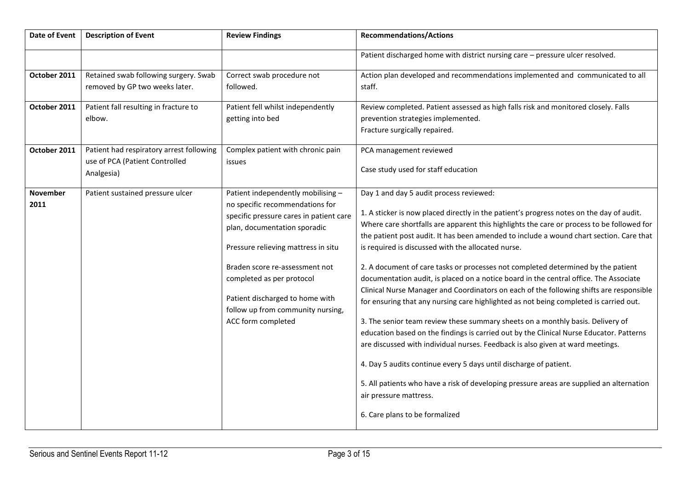| <b>Date of Event</b> | <b>Description of Event</b>                  | <b>Review Findings</b>                                                  | <b>Recommendations/Actions</b>                                                            |
|----------------------|----------------------------------------------|-------------------------------------------------------------------------|-------------------------------------------------------------------------------------------|
|                      |                                              |                                                                         | Patient discharged home with district nursing care - pressure ulcer resolved.             |
| October 2011         | Retained swab following surgery. Swab        | Correct swab procedure not                                              | Action plan developed and recommendations implemented and communicated to all             |
|                      | removed by GP two weeks later.               | followed.                                                               | staff.                                                                                    |
| October 2011         | Patient fall resulting in fracture to        | Patient fell whilst independently                                       | Review completed. Patient assessed as high falls risk and monitored closely. Falls        |
|                      | elbow.                                       | getting into bed                                                        | prevention strategies implemented.                                                        |
|                      |                                              |                                                                         | Fracture surgically repaired.                                                             |
| October 2011         | Patient had respiratory arrest following     | Complex patient with chronic pain                                       | PCA management reviewed                                                                   |
|                      | use of PCA (Patient Controlled<br>Analgesia) | issues                                                                  | Case study used for staff education                                                       |
|                      |                                              |                                                                         |                                                                                           |
| <b>November</b>      | Patient sustained pressure ulcer             | Patient independently mobilising -                                      | Day 1 and day 5 audit process reviewed:                                                   |
| 2011                 |                                              | no specific recommendations for                                         | 1. A sticker is now placed directly in the patient's progress notes on the day of audit.  |
|                      |                                              | specific pressure cares in patient care<br>plan, documentation sporadic | Where care shortfalls are apparent this highlights the care or process to be followed for |
|                      |                                              |                                                                         | the patient post audit. It has been amended to include a wound chart section. Care that   |
|                      |                                              | Pressure relieving mattress in situ                                     | is required is discussed with the allocated nurse.                                        |
|                      |                                              | Braden score re-assessment not                                          | 2. A document of care tasks or processes not completed determined by the patient          |
|                      |                                              | completed as per protocol                                               | documentation audit, is placed on a notice board in the central office. The Associate     |
|                      |                                              | Patient discharged to home with                                         | Clinical Nurse Manager and Coordinators on each of the following shifts are responsible   |
|                      |                                              | follow up from community nursing,                                       | for ensuring that any nursing care highlighted as not being completed is carried out.     |
|                      |                                              | ACC form completed                                                      | 3. The senior team review these summary sheets on a monthly basis. Delivery of            |
|                      |                                              |                                                                         | education based on the findings is carried out by the Clinical Nurse Educator. Patterns   |
|                      |                                              |                                                                         | are discussed with individual nurses. Feedback is also given at ward meetings.            |
|                      |                                              |                                                                         | 4. Day 5 audits continue every 5 days until discharge of patient.                         |
|                      |                                              |                                                                         | 5. All patients who have a risk of developing pressure areas are supplied an alternation  |
|                      |                                              |                                                                         | air pressure mattress.                                                                    |
|                      |                                              |                                                                         | 6. Care plans to be formalized                                                            |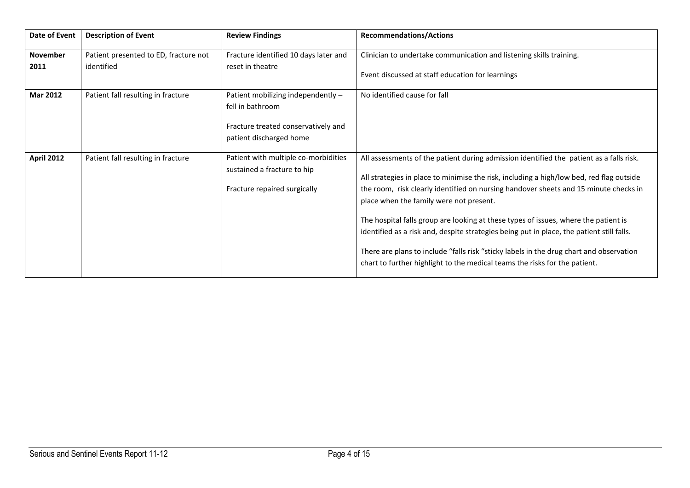| <b>Date of Event</b>    | <b>Description of Event</b>                         | <b>Review Findings</b>                                                                              | <b>Recommendations/Actions</b>                                                                                                                                                                                                                                                                                                                            |
|-------------------------|-----------------------------------------------------|-----------------------------------------------------------------------------------------------------|-----------------------------------------------------------------------------------------------------------------------------------------------------------------------------------------------------------------------------------------------------------------------------------------------------------------------------------------------------------|
| <b>November</b><br>2011 | Patient presented to ED, fracture not<br>identified | Fracture identified 10 days later and<br>reset in theatre                                           | Clinician to undertake communication and listening skills training.<br>Event discussed at staff education for learnings                                                                                                                                                                                                                                   |
| Mar 2012                | Patient fall resulting in fracture                  | Patient mobilizing independently -<br>fell in bathroom                                              | No identified cause for fall                                                                                                                                                                                                                                                                                                                              |
|                         |                                                     | Fracture treated conservatively and<br>patient discharged home                                      |                                                                                                                                                                                                                                                                                                                                                           |
| <b>April 2012</b>       | Patient fall resulting in fracture                  | Patient with multiple co-morbidities<br>sustained a fracture to hip<br>Fracture repaired surgically | All assessments of the patient during admission identified the patient as a falls risk.<br>All strategies in place to minimise the risk, including a high/low bed, red flag outside<br>the room, risk clearly identified on nursing handover sheets and 15 minute checks in<br>place when the family were not present.                                    |
|                         |                                                     |                                                                                                     | The hospital falls group are looking at these types of issues, where the patient is<br>identified as a risk and, despite strategies being put in place, the patient still falls.<br>There are plans to include "falls risk "sticky labels in the drug chart and observation<br>chart to further highlight to the medical teams the risks for the patient. |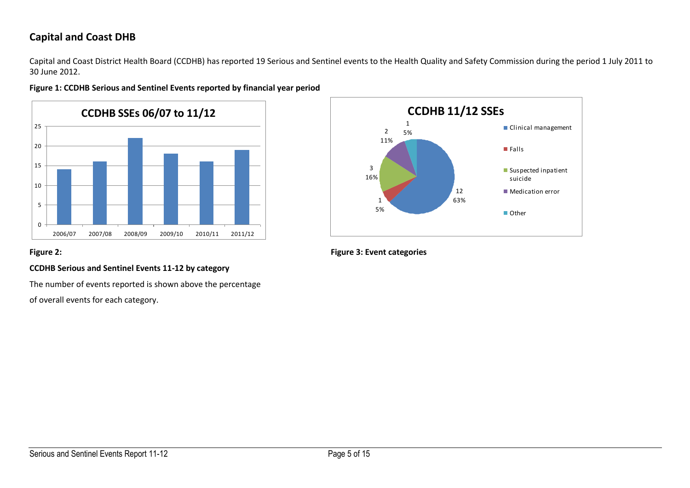# **Capital and Coast DHB**

Capital and Coast District Health Board (CCDHB) has reported 19 Serious and Sentinel events to the Health Quality and Safety Commission during the period 1 July 2011 to 30 June 2012.



### **Figure 1: CCDHB Serious and Sentinel Events reported by financial year period**



## **CCDHB Serious and Sentinel Events 11-12 by category**

The number of events reported is shown above the percentage

of overall events for each category.

## **Figure 2: Figure 3: Event categories**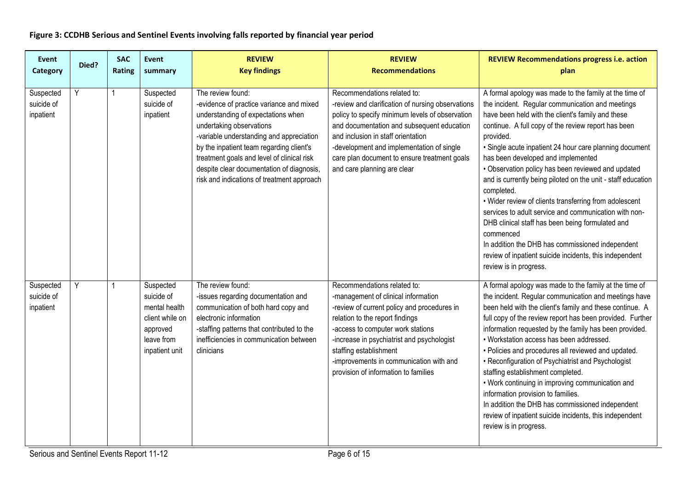## **Figure 3: CCDHB Serious and Sentinel Events involving falls reported by financial year period**

| <b>Event</b><br>Category             | Died?          | <b>SAC</b><br>Rating | <b>Event</b><br>summary                                                                                 | <b>REVIEW</b><br><b>Key findings</b>                                                                                                                                                                                                                                                                                                                             | <b>REVIEW</b><br><b>Recommendations</b>                                                                                                                                                                                                                                                                                                              | <b>REVIEW Recommendations progress i.e. action</b><br>plan                                                                                                                                                                                                                                                                                                                                                                                                                                                                                                                                                                                                                                                                                                                                            |
|--------------------------------------|----------------|----------------------|---------------------------------------------------------------------------------------------------------|------------------------------------------------------------------------------------------------------------------------------------------------------------------------------------------------------------------------------------------------------------------------------------------------------------------------------------------------------------------|------------------------------------------------------------------------------------------------------------------------------------------------------------------------------------------------------------------------------------------------------------------------------------------------------------------------------------------------------|-------------------------------------------------------------------------------------------------------------------------------------------------------------------------------------------------------------------------------------------------------------------------------------------------------------------------------------------------------------------------------------------------------------------------------------------------------------------------------------------------------------------------------------------------------------------------------------------------------------------------------------------------------------------------------------------------------------------------------------------------------------------------------------------------------|
| Suspected<br>suicide of<br>inpatient | Y              |                      | Suspected<br>suicide of<br>inpatient                                                                    | The review found:<br>-evidence of practice variance and mixed<br>understanding of expectations when<br>undertaking observations<br>-variable understanding and appreciation<br>by the inpatient team regarding client's<br>treatment goals and level of clinical risk<br>despite clear documentation of diagnosis,<br>risk and indications of treatment approach | Recommendations related to:<br>-review and clarification of nursing observations<br>policy to specify minimum levels of observation<br>and documentation and subsequent education<br>and inclusion in staff orientation<br>-development and implementation of single<br>care plan document to ensure treatment goals<br>and care planning are clear  | A formal apology was made to the family at the time of<br>the incident. Regular communication and meetings<br>have been held with the client's family and these<br>continue. A full copy of the review report has been<br>provided.<br>· Single acute inpatient 24 hour care planning document<br>has been developed and implemented<br>• Observation policy has been reviewed and updated<br>and is currently being piloted on the unit - staff education<br>completed.<br>• Wider review of clients transferring from adolescent<br>services to adult service and communication with non-<br>DHB clinical staff has been being formulated and<br>commenced<br>In addition the DHB has commissioned independent<br>review of inpatient suicide incidents, this independent<br>review is in progress. |
| Suspected<br>suicide of<br>inpatient | $\overline{Y}$ | $\mathbf 1$          | Suspected<br>suicide of<br>mental health<br>client while on<br>approved<br>leave from<br>inpatient unit | The review found:<br>-issues regarding documentation and<br>communication of both hard copy and<br>electronic information<br>-staffing patterns that contributed to the<br>inefficiencies in communication between<br>clinicians                                                                                                                                 | Recommendations related to:<br>-management of clinical information<br>-review of current policy and procedures in<br>relation to the report findings<br>-access to computer work stations<br>-increase in psychiatrist and psychologist<br>staffing establishment<br>-improvements in communication with and<br>provision of information to families | A formal apology was made to the family at the time of<br>the incident. Regular communication and meetings have<br>been held with the client's family and these continue. A<br>full copy of the review report has been provided. Further<br>information requested by the family has been provided.<br>• Workstation access has been addressed.<br>• Policies and procedures all reviewed and updated.<br>• Reconfiguration of Psychiatrist and Psychologist<br>staffing establishment completed.<br>• Work continuing in improving communication and<br>information provision to families.<br>In addition the DHB has commissioned independent<br>review of inpatient suicide incidents, this independent<br>review is in progress.                                                                   |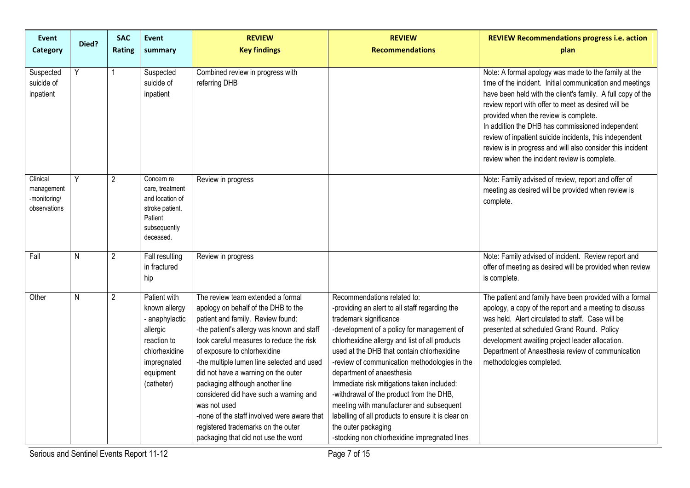| <b>Event</b><br>Category                               | Died?          | <b>SAC</b><br>Rating | Event<br>summary                                                                                                                      | <b>REVIEW</b><br><b>Key findings</b>                                                                                                                                                                                                                                                                                                                                                                                                                                                                                                                  | <b>REVIEW</b><br><b>Recommendations</b>                                                                                                                                                                                                                                                                                                                                                                                                                                                                                                                                                                 | <b>REVIEW Recommendations progress i.e. action</b><br>plan                                                                                                                                                                                                                                                                                                                                                                                                                                                   |
|--------------------------------------------------------|----------------|----------------------|---------------------------------------------------------------------------------------------------------------------------------------|-------------------------------------------------------------------------------------------------------------------------------------------------------------------------------------------------------------------------------------------------------------------------------------------------------------------------------------------------------------------------------------------------------------------------------------------------------------------------------------------------------------------------------------------------------|---------------------------------------------------------------------------------------------------------------------------------------------------------------------------------------------------------------------------------------------------------------------------------------------------------------------------------------------------------------------------------------------------------------------------------------------------------------------------------------------------------------------------------------------------------------------------------------------------------|--------------------------------------------------------------------------------------------------------------------------------------------------------------------------------------------------------------------------------------------------------------------------------------------------------------------------------------------------------------------------------------------------------------------------------------------------------------------------------------------------------------|
| Suspected<br>suicide of<br>inpatient                   | Y              |                      | Suspected<br>suicide of<br>inpatient                                                                                                  | Combined review in progress with<br>referring DHB                                                                                                                                                                                                                                                                                                                                                                                                                                                                                                     |                                                                                                                                                                                                                                                                                                                                                                                                                                                                                                                                                                                                         | Note: A formal apology was made to the family at the<br>time of the incident. Initial communication and meetings<br>have been held with the client's family. A full copy of the<br>review report with offer to meet as desired will be<br>provided when the review is complete.<br>In addition the DHB has commissioned independent<br>review of inpatient suicide incidents, this independent<br>review is in progress and will also consider this incident<br>review when the incident review is complete. |
| Clinical<br>management<br>-monitoring/<br>observations | $\overline{Y}$ | $\overline{2}$       | Concern re<br>care, treatment<br>and location of<br>stroke patient.<br>Patient<br>subsequently<br>deceased.                           | Review in progress                                                                                                                                                                                                                                                                                                                                                                                                                                                                                                                                    |                                                                                                                                                                                                                                                                                                                                                                                                                                                                                                                                                                                                         | Note: Family advised of review, report and offer of<br>meeting as desired will be provided when review is<br>complete.                                                                                                                                                                                                                                                                                                                                                                                       |
| Fall                                                   | $\overline{N}$ | $\overline{2}$       | <b>Fall resulting</b><br>in fractured<br>hip                                                                                          | Review in progress                                                                                                                                                                                                                                                                                                                                                                                                                                                                                                                                    |                                                                                                                                                                                                                                                                                                                                                                                                                                                                                                                                                                                                         | Note: Family advised of incident. Review report and<br>offer of meeting as desired will be provided when review<br>is complete.                                                                                                                                                                                                                                                                                                                                                                              |
| Other                                                  | N              | $\overline{2}$       | Patient with<br>known allergy<br>- anaphylactic<br>allergic<br>reaction to<br>chlorhexidine<br>impregnated<br>equipment<br>(catheter) | The review team extended a formal<br>apology on behalf of the DHB to the<br>patient and family. Review found:<br>-the patient's allergy was known and staff<br>took careful measures to reduce the risk<br>of exposure to chlorhexidine<br>-the multiple lumen line selected and used<br>did not have a warning on the outer<br>packaging although another line<br>considered did have such a warning and<br>was not used<br>-none of the staff involved were aware that<br>registered trademarks on the outer<br>packaging that did not use the word | Recommendations related to:<br>-providing an alert to all staff regarding the<br>trademark significance<br>-development of a policy for management of<br>chlorhexidine allergy and list of all products<br>used at the DHB that contain chlorhexidine<br>-review of communication methodologies in the<br>department of anaesthesia<br>Immediate risk mitigations taken included:<br>-withdrawal of the product from the DHB,<br>meeting with manufacturer and subsequent<br>labelling of all products to ensure it is clear on<br>the outer packaging<br>-stocking non chlorhexidine impregnated lines | The patient and family have been provided with a formal<br>apology, a copy of the report and a meeting to discuss<br>was held. Alert circulated to staff. Case will be<br>presented at scheduled Grand Round. Policy<br>development awaiting project leader allocation.<br>Department of Anaesthesia review of communication<br>methodologies completed.                                                                                                                                                     |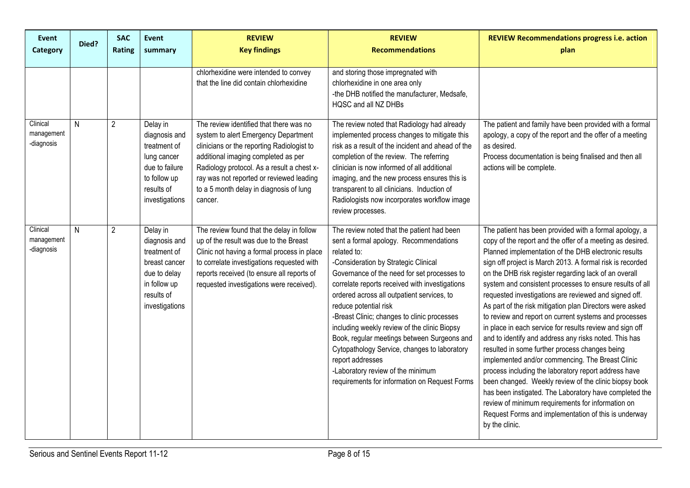| <b>Event</b><br>Category             | Died? | <b>SAC</b><br>Rating | <b>Event</b><br>summary                                                                                                    | <b>REVIEW</b><br><b>Key findings</b>                                                                                                                                                                                                                                                                                 | <b>REVIEW</b><br><b>Recommendations</b>                                                                                                                                                                                                                                                                                                                                                                                                                                                                                                                                                                                     | <b>REVIEW Recommendations progress i.e. action</b><br>plan                                                                                                                                                                                                                                                                                                                                                                                                                                                                                                                                                                                                                                                                                                                                                                                                                                                                                                                                                                                                                       |
|--------------------------------------|-------|----------------------|----------------------------------------------------------------------------------------------------------------------------|----------------------------------------------------------------------------------------------------------------------------------------------------------------------------------------------------------------------------------------------------------------------------------------------------------------------|-----------------------------------------------------------------------------------------------------------------------------------------------------------------------------------------------------------------------------------------------------------------------------------------------------------------------------------------------------------------------------------------------------------------------------------------------------------------------------------------------------------------------------------------------------------------------------------------------------------------------------|----------------------------------------------------------------------------------------------------------------------------------------------------------------------------------------------------------------------------------------------------------------------------------------------------------------------------------------------------------------------------------------------------------------------------------------------------------------------------------------------------------------------------------------------------------------------------------------------------------------------------------------------------------------------------------------------------------------------------------------------------------------------------------------------------------------------------------------------------------------------------------------------------------------------------------------------------------------------------------------------------------------------------------------------------------------------------------|
|                                      |       |                      |                                                                                                                            | chlorhexidine were intended to convey<br>that the line did contain chlorhexidine                                                                                                                                                                                                                                     | and storing those impregnated with<br>chlorhexidine in one area only<br>-the DHB notified the manufacturer, Medsafe,<br>HQSC and all NZ DHBs                                                                                                                                                                                                                                                                                                                                                                                                                                                                                |                                                                                                                                                                                                                                                                                                                                                                                                                                                                                                                                                                                                                                                                                                                                                                                                                                                                                                                                                                                                                                                                                  |
| Clinical<br>management<br>-diagnosis | N     | $\overline{2}$       | Delay in<br>diagnosis and<br>treatment of<br>lung cancer<br>due to failure<br>to follow up<br>results of<br>investigations | The review identified that there was no<br>system to alert Emergency Department<br>clinicians or the reporting Radiologist to<br>additional imaging completed as per<br>Radiology protocol. As a result a chest x-<br>ray was not reported or reviewed leading<br>to a 5 month delay in diagnosis of lung<br>cancer. | The review noted that Radiology had already<br>implemented process changes to mitigate this<br>risk as a result of the incident and ahead of the<br>completion of the review. The referring<br>clinician is now informed of all additional<br>imaging, and the new process ensures this is<br>transparent to all clinicians. Induction of<br>Radiologists now incorporates workflow image<br>review processes.                                                                                                                                                                                                              | The patient and family have been provided with a formal<br>apology, a copy of the report and the offer of a meeting<br>as desired.<br>Process documentation is being finalised and then all<br>actions will be complete.                                                                                                                                                                                                                                                                                                                                                                                                                                                                                                                                                                                                                                                                                                                                                                                                                                                         |
| Clinical<br>management<br>-diagnosis | N     | $\overline{2}$       | Delay in<br>diagnosis and<br>treatment of<br>breast cancer<br>due to delay<br>in follow up<br>results of<br>investigations | The review found that the delay in follow<br>up of the result was due to the Breast<br>Clinic not having a formal process in place<br>to correlate investigations requested with<br>reports received (to ensure all reports of<br>requested investigations were received).                                           | The review noted that the patient had been<br>sent a formal apology. Recommendations<br>related to:<br>-Consideration by Strategic Clinical<br>Governance of the need for set processes to<br>correlate reports received with investigations<br>ordered across all outpatient services, to<br>reduce potential risk<br>-Breast Clinic; changes to clinic processes<br>including weekly review of the clinic Biopsy<br>Book, regular meetings between Surgeons and<br>Cytopathology Service, changes to laboratory<br>report addresses<br>-Laboratory review of the minimum<br>requirements for information on Request Forms | The patient has been provided with a formal apology, a<br>copy of the report and the offer of a meeting as desired.<br>Planned implementation of the DHB electronic results<br>sign off project is March 2013. A formal risk is recorded<br>on the DHB risk register regarding lack of an overall<br>system and consistent processes to ensure results of all<br>requested investigations are reviewed and signed off.<br>As part of the risk mitigation plan Directors were asked<br>to review and report on current systems and processes<br>in place in each service for results review and sign off<br>and to identify and address any risks noted. This has<br>resulted in some further process changes being<br>implemented and/or commencing. The Breast Clinic<br>process including the laboratory report address have<br>been changed. Weekly review of the clinic biopsy book<br>has been instigated. The Laboratory have completed the<br>review of minimum requirements for information on<br>Request Forms and implementation of this is underway<br>by the clinic. |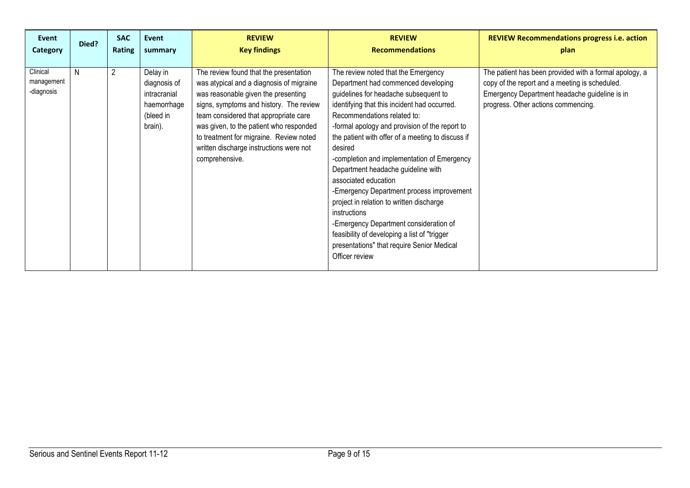| Event                                | Died? | <b>SAC</b>     | Event                                                                           | <b>REVIEW</b>                                                                                                                                                                                                                                                                                                                                                    | <b>REVIEW</b>                                                                                                                                                                                                                                                                                                                                                                                                                                                                                                                                                                                                                                                                                        | <b>REVIEW Recommendations progress i.e. action</b>                                                                                                                                               |
|--------------------------------------|-------|----------------|---------------------------------------------------------------------------------|------------------------------------------------------------------------------------------------------------------------------------------------------------------------------------------------------------------------------------------------------------------------------------------------------------------------------------------------------------------|------------------------------------------------------------------------------------------------------------------------------------------------------------------------------------------------------------------------------------------------------------------------------------------------------------------------------------------------------------------------------------------------------------------------------------------------------------------------------------------------------------------------------------------------------------------------------------------------------------------------------------------------------------------------------------------------------|--------------------------------------------------------------------------------------------------------------------------------------------------------------------------------------------------|
| <b>Category</b>                      |       | Rating         | summary                                                                         | <b>Key findings</b>                                                                                                                                                                                                                                                                                                                                              | <b>Recommendations</b>                                                                                                                                                                                                                                                                                                                                                                                                                                                                                                                                                                                                                                                                               | plan                                                                                                                                                                                             |
| Clinical<br>management<br>-diagnosis | N     | $\overline{c}$ | Delay in<br>diagnosis of<br>intracranial<br>haemorrhage<br>(bleed in<br>brain). | The review found that the presentation<br>was atypical and a diagnosis of migraine<br>was reasonable given the presenting<br>signs, symptoms and history. The review<br>team considered that appropriate care<br>was given, to the patient who responded<br>to treatment for migraine. Review noted<br>written discharge instructions were not<br>comprehensive. | The review noted that the Emergency<br>Department had commenced developing<br>guidelines for headache subsequent to<br>identifying that this incident had occurred.<br>Recommendations related to:<br>-formal apology and provision of the report to<br>the patient with offer of a meeting to discuss if<br>desired<br>-completion and implementation of Emergency<br>Department headache guideline with<br>associated education<br>-Emergency Department process improvement<br>project in relation to written discharge<br>instructions<br>-Emergency Department consideration of<br>feasibility of developing a list of "trigger<br>presentations" that require Senior Medical<br>Officer review | The patient has been provided with a formal apology, a<br>copy of the report and a meeting is scheduled.<br>Emergency Department headache guideline is in<br>progress. Other actions commencing. |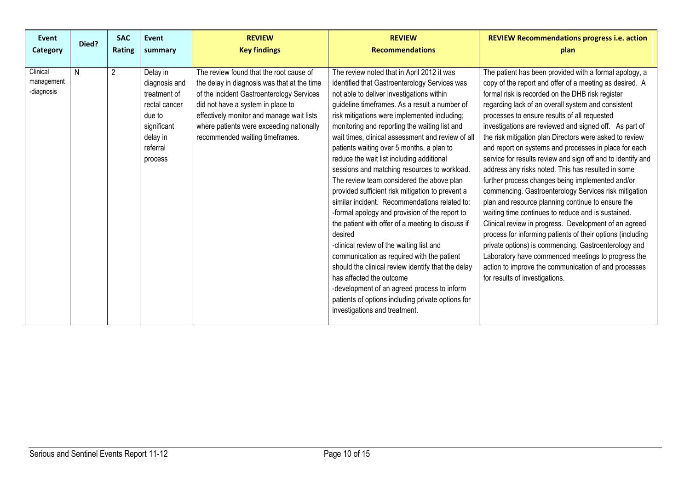| Event                                | Died? | <b>SAC</b>     | Event                                                                                                                  | <b>REVIEW</b>                                                                                                                                                                                                                                                                                        | <b>REVIEW</b>                                                                                                                                                                                                                                                                                                                                                                                                                                                                                                                                                                                                                                                                                                                                                                                                                                                                                                                                                                                                                                                                  | <b>REVIEW Recommendations progress i.e. action</b>                                                                                                                                                                                                                                                                                                                                                                                                                                                                                                                                                                                                                                                                                                                                                                                                                                                                                                                                                                                                                                                                                    |
|--------------------------------------|-------|----------------|------------------------------------------------------------------------------------------------------------------------|------------------------------------------------------------------------------------------------------------------------------------------------------------------------------------------------------------------------------------------------------------------------------------------------------|--------------------------------------------------------------------------------------------------------------------------------------------------------------------------------------------------------------------------------------------------------------------------------------------------------------------------------------------------------------------------------------------------------------------------------------------------------------------------------------------------------------------------------------------------------------------------------------------------------------------------------------------------------------------------------------------------------------------------------------------------------------------------------------------------------------------------------------------------------------------------------------------------------------------------------------------------------------------------------------------------------------------------------------------------------------------------------|---------------------------------------------------------------------------------------------------------------------------------------------------------------------------------------------------------------------------------------------------------------------------------------------------------------------------------------------------------------------------------------------------------------------------------------------------------------------------------------------------------------------------------------------------------------------------------------------------------------------------------------------------------------------------------------------------------------------------------------------------------------------------------------------------------------------------------------------------------------------------------------------------------------------------------------------------------------------------------------------------------------------------------------------------------------------------------------------------------------------------------------|
| Category                             |       | Rating         | summary                                                                                                                | <b>Key findings</b>                                                                                                                                                                                                                                                                                  | <b>Recommendations</b>                                                                                                                                                                                                                                                                                                                                                                                                                                                                                                                                                                                                                                                                                                                                                                                                                                                                                                                                                                                                                                                         | plan                                                                                                                                                                                                                                                                                                                                                                                                                                                                                                                                                                                                                                                                                                                                                                                                                                                                                                                                                                                                                                                                                                                                  |
| Clinical<br>management<br>-diagnosis | N     | $\overline{2}$ | Delay in<br>diagnosis and<br>treatment of<br>rectal cancer<br>due to<br>significant<br>delay in<br>referral<br>process | The review found that the root cause of<br>the delay in diagnosis was that at the time<br>of the incident Gastroenterology Services<br>did not have a system in place to<br>effectively monitor and manage wait lists<br>where patients were exceeding nationally<br>recommended waiting timeframes. | The review noted that in April 2012 it was<br>identified that Gastroenterology Services was<br>not able to deliver investigations within<br>guideline timeframes. As a result a number of<br>risk mitigations were implemented including;<br>monitoring and reporting the waiting list and<br>wait times, clinical assessment and review of all<br>patients waiting over 5 months, a plan to<br>reduce the wait list including additional<br>sessions and matching resources to workload.<br>The review team considered the above plan<br>provided sufficient risk mitigation to prevent a<br>similar incident. Recommendations related to:<br>-formal apology and provision of the report to<br>the patient with offer of a meeting to discuss if<br>desired<br>-clinical review of the waiting list and<br>communication as required with the patient<br>should the clinical review identify that the delay<br>has affected the outcome<br>-development of an agreed process to inform<br>patients of options including private options for<br>investigations and treatment. | The patient has been provided with a formal apology, a<br>copy of the report and offer of a meeting as desired. A<br>formal risk is recorded on the DHB risk register<br>regarding lack of an overall system and consistent<br>processes to ensure results of all requested<br>investigations are reviewed and signed off. As part of<br>the risk mitigation plan Directors were asked to review<br>and report on systems and processes in place for each<br>service for results review and sign off and to identify and<br>address any risks noted. This has resulted in some<br>further process changes being implemented and/or<br>commencing. Gastroenterology Services risk mitigation<br>plan and resource planning continue to ensure the<br>waiting time continues to reduce and is sustained.<br>Clinical review in progress. Development of an agreed<br>process for informing patients of their options (including<br>private options) is commencing. Gastroenterology and<br>Laboratory have commenced meetings to progress the<br>action to improve the communication of and processes<br>for results of investigations. |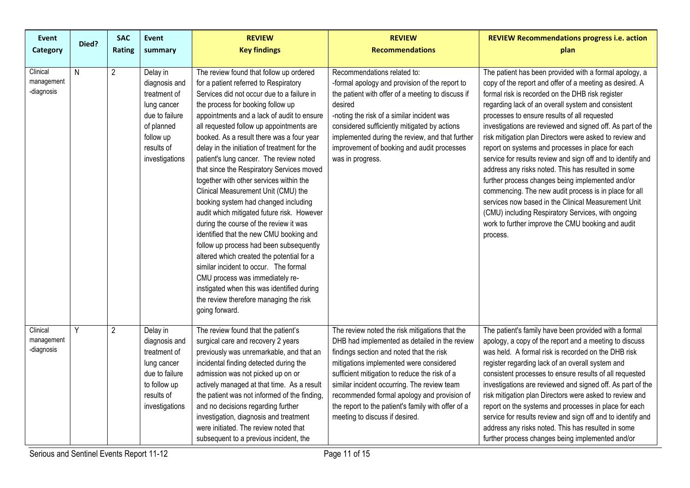| <b>Event</b><br>Category             | Died? | <b>SAC</b><br>Rating | <b>Event</b><br>summary                                                                                                               | <b>REVIEW</b><br><b>Key findings</b>                                                                                                                                                                                                                                                                                                                                                                                                                                                                                                                                                                                                                                                                                                                                                                                                                                                                                                                                                          | <b>REVIEW</b><br><b>Recommendations</b>                                                                                                                                                                                                                                                                                                                                                                                       | <b>REVIEW Recommendations progress i.e. action</b><br>plan                                                                                                                                                                                                                                                                                                                                                                                                                                                                                                                                                                                                                                                                                                                                                                                                                |
|--------------------------------------|-------|----------------------|---------------------------------------------------------------------------------------------------------------------------------------|-----------------------------------------------------------------------------------------------------------------------------------------------------------------------------------------------------------------------------------------------------------------------------------------------------------------------------------------------------------------------------------------------------------------------------------------------------------------------------------------------------------------------------------------------------------------------------------------------------------------------------------------------------------------------------------------------------------------------------------------------------------------------------------------------------------------------------------------------------------------------------------------------------------------------------------------------------------------------------------------------|-------------------------------------------------------------------------------------------------------------------------------------------------------------------------------------------------------------------------------------------------------------------------------------------------------------------------------------------------------------------------------------------------------------------------------|---------------------------------------------------------------------------------------------------------------------------------------------------------------------------------------------------------------------------------------------------------------------------------------------------------------------------------------------------------------------------------------------------------------------------------------------------------------------------------------------------------------------------------------------------------------------------------------------------------------------------------------------------------------------------------------------------------------------------------------------------------------------------------------------------------------------------------------------------------------------------|
| Clinical<br>management<br>-diagnosis | N     | $\overline{2}$       | Delay in<br>diagnosis and<br>treatment of<br>lung cancer<br>due to failure<br>of planned<br>follow up<br>results of<br>investigations | The review found that follow up ordered<br>for a patient referred to Respiratory<br>Services did not occur due to a failure in<br>the process for booking follow up<br>appointments and a lack of audit to ensure<br>all requested follow up appointments are<br>booked. As a result there was a four year<br>delay in the initiation of treatment for the<br>patient's lung cancer. The review noted<br>that since the Respiratory Services moved<br>together with other services within the<br>Clinical Measurement Unit (CMU) the<br>booking system had changed including<br>audit which mitigated future risk. However<br>during the course of the review it was<br>identified that the new CMU booking and<br>follow up process had been subsequently<br>altered which created the potential for a<br>similar incident to occur. The formal<br>CMU process was immediately re-<br>instigated when this was identified during<br>the review therefore managing the risk<br>going forward. | Recommendations related to:<br>-formal apology and provision of the report to<br>the patient with offer of a meeting to discuss if<br>desired<br>-noting the risk of a similar incident was<br>considered sufficiently mitigated by actions<br>implemented during the review, and that further<br>improvement of booking and audit processes<br>was in progress.                                                              | The patient has been provided with a formal apology, a<br>copy of the report and offer of a meeting as desired. A<br>formal risk is recorded on the DHB risk register<br>regarding lack of an overall system and consistent<br>processes to ensure results of all requested<br>investigations are reviewed and signed off. As part of the<br>risk mitigation plan Directors were asked to review and<br>report on systems and processes in place for each<br>service for results review and sign off and to identify and<br>address any risks noted. This has resulted in some<br>further process changes being implemented and/or<br>commencing. The new audit process is in place for all<br>services now based in the Clinical Measurement Unit<br>(CMU) including Respiratory Services, with ongoing<br>work to further improve the CMU booking and audit<br>process. |
| Clinical<br>management<br>-diagnosis | Υ     | $\overline{2}$       | Delay in<br>diagnosis and<br>treatment of<br>lung cancer<br>due to failure<br>to follow up<br>results of<br>investigations            | The review found that the patient's<br>surgical care and recovery 2 years<br>previously was unremarkable, and that an<br>incidental finding detected during the<br>admission was not picked up on or<br>actively managed at that time. As a result<br>the patient was not informed of the finding,<br>and no decisions regarding further<br>investigation, diagnosis and treatment<br>were initiated. The review noted that<br>subsequent to a previous incident, the                                                                                                                                                                                                                                                                                                                                                                                                                                                                                                                         | The review noted the risk mitigations that the<br>DHB had implemented as detailed in the review<br>findings section and noted that the risk<br>mitigations implemented were considered<br>sufficient mitigation to reduce the risk of a<br>similar incident occurring. The review team<br>recommended formal apology and provision of<br>the report to the patient's family with offer of a<br>meeting to discuss if desired. | The patient's family have been provided with a formal<br>apology, a copy of the report and a meeting to discuss<br>was held. A formal risk is recorded on the DHB risk<br>register regarding lack of an overall system and<br>consistent processes to ensure results of all requested<br>investigations are reviewed and signed off. As part of the<br>risk mitigation plan Directors were asked to review and<br>report on the systems and processes in place for each<br>service for results review and sign off and to identify and<br>address any risks noted. This has resulted in some<br>further process changes being implemented and/or                                                                                                                                                                                                                          |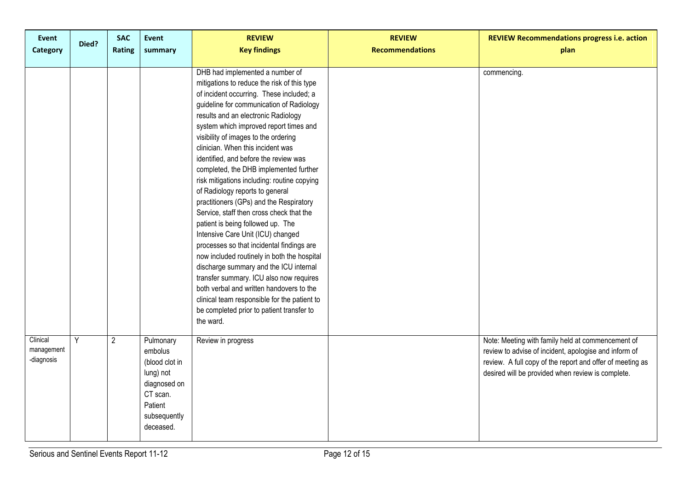| Event<br>Category                    | Died? | <b>SAC</b><br>Rating | <b>Event</b><br>summary                                                                                                 | <b>REVIEW</b><br><b>Key findings</b>                                                                                                                                                                                                                                                                                                                                                                                                                                                                                                                                                                                                                                                                                                                                                                                                                                                                                                                                                                              | <b>REVIEW</b><br><b>Recommendations</b> | <b>REVIEW Recommendations progress i.e. action</b><br>plan                                                                                                                                                                   |
|--------------------------------------|-------|----------------------|-------------------------------------------------------------------------------------------------------------------------|-------------------------------------------------------------------------------------------------------------------------------------------------------------------------------------------------------------------------------------------------------------------------------------------------------------------------------------------------------------------------------------------------------------------------------------------------------------------------------------------------------------------------------------------------------------------------------------------------------------------------------------------------------------------------------------------------------------------------------------------------------------------------------------------------------------------------------------------------------------------------------------------------------------------------------------------------------------------------------------------------------------------|-----------------------------------------|------------------------------------------------------------------------------------------------------------------------------------------------------------------------------------------------------------------------------|
|                                      |       |                      |                                                                                                                         | DHB had implemented a number of<br>mitigations to reduce the risk of this type<br>of incident occurring. These included; a<br>guideline for communication of Radiology<br>results and an electronic Radiology<br>system which improved report times and<br>visibility of images to the ordering<br>clinician. When this incident was<br>identified, and before the review was<br>completed, the DHB implemented further<br>risk mitigations including: routine copying<br>of Radiology reports to general<br>practitioners (GPs) and the Respiratory<br>Service, staff then cross check that the<br>patient is being followed up. The<br>Intensive Care Unit (ICU) changed<br>processes so that incidental findings are<br>now included routinely in both the hospital<br>discharge summary and the ICU internal<br>transfer summary. ICU also now requires<br>both verbal and written handovers to the<br>clinical team responsible for the patient to<br>be completed prior to patient transfer to<br>the ward. |                                         | commencing.                                                                                                                                                                                                                  |
| Clinical<br>management<br>-diagnosis | Y     | $\overline{2}$       | Pulmonary<br>embolus<br>(blood clot in<br>lung) not<br>diagnosed on<br>CT scan.<br>Patient<br>subsequently<br>deceased. | Review in progress                                                                                                                                                                                                                                                                                                                                                                                                                                                                                                                                                                                                                                                                                                                                                                                                                                                                                                                                                                                                |                                         | Note: Meeting with family held at commencement of<br>review to advise of incident, apologise and inform of<br>review. A full copy of the report and offer of meeting as<br>desired will be provided when review is complete. |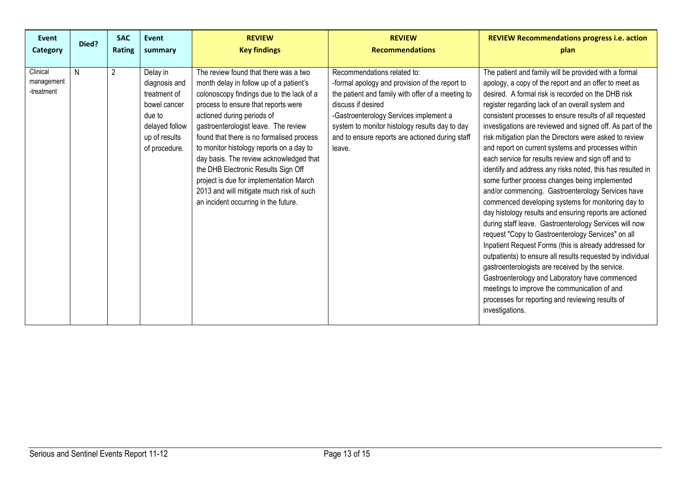| Event                                | Died? | <b>SAC</b>     | Event                                                                                                                   | <b>REVIEW</b>                                                                                                                                                                                                                                                                                                                                                                                                                                                                                                                                        | <b>REVIEW</b>                                                                                                                                                                                                                                                                                                     | <b>REVIEW Recommendations progress i.e. action</b>                                                                                                                                                                                                                                                                                                                                                                                                                                                                                                                                                                                                                                                                                                                                                                                                                                                                                                                                                                                                                                                                                                                                                                                                                                   |
|--------------------------------------|-------|----------------|-------------------------------------------------------------------------------------------------------------------------|------------------------------------------------------------------------------------------------------------------------------------------------------------------------------------------------------------------------------------------------------------------------------------------------------------------------------------------------------------------------------------------------------------------------------------------------------------------------------------------------------------------------------------------------------|-------------------------------------------------------------------------------------------------------------------------------------------------------------------------------------------------------------------------------------------------------------------------------------------------------------------|--------------------------------------------------------------------------------------------------------------------------------------------------------------------------------------------------------------------------------------------------------------------------------------------------------------------------------------------------------------------------------------------------------------------------------------------------------------------------------------------------------------------------------------------------------------------------------------------------------------------------------------------------------------------------------------------------------------------------------------------------------------------------------------------------------------------------------------------------------------------------------------------------------------------------------------------------------------------------------------------------------------------------------------------------------------------------------------------------------------------------------------------------------------------------------------------------------------------------------------------------------------------------------------|
| Category                             |       | Rating         | summary                                                                                                                 | <b>Key findings</b>                                                                                                                                                                                                                                                                                                                                                                                                                                                                                                                                  | <b>Recommendations</b>                                                                                                                                                                                                                                                                                            | plan                                                                                                                                                                                                                                                                                                                                                                                                                                                                                                                                                                                                                                                                                                                                                                                                                                                                                                                                                                                                                                                                                                                                                                                                                                                                                 |
| Clinical<br>management<br>-treatment | N     | $\overline{2}$ | Delay in<br>diagnosis and<br>treatment of<br>bowel cancer<br>due to<br>delayed follow<br>up of results<br>of procedure. | The review found that there was a two<br>month delay in follow up of a patient's<br>colonoscopy findings due to the lack of a<br>process to ensure that reports were<br>actioned during periods of<br>gastroenterologist leave. The review<br>found that there is no formalised process<br>to monitor histology reports on a day to<br>day basis. The review acknowledged that<br>the DHB Electronic Results Sign Off<br>project is due for implementation March<br>2013 and will mitigate much risk of such<br>an incident occurring in the future. | Recommendations related to:<br>-formal apology and provision of the report to<br>the patient and family with offer of a meeting to<br>discuss if desired<br>-Gastroenterology Services implement a<br>system to monitor histology results day to day<br>and to ensure reports are actioned during staff<br>leave. | The patient and family will be provided with a formal<br>apology, a copy of the report and an offer to meet as<br>desired. A formal risk is recorded on the DHB risk<br>register regarding lack of an overall system and<br>consistent processes to ensure results of all requested<br>investigations are reviewed and signed off. As part of the<br>risk mitigation plan the Directors were asked to review<br>and report on current systems and processes within<br>each service for results review and sign off and to<br>identify and address any risks noted, this has resulted in<br>some further process changes being implemented<br>and/or commencing. Gastroenterology Services have<br>commenced developing systems for monitoring day to<br>day histology results and ensuring reports are actioned<br>during staff leave. Gastroenterology Services will now<br>request "Copy to Gastroenterology Services" on all<br>Inpatient Request Forms (this is already addressed for<br>outpatients) to ensure all results requested by individual<br>gastroenterologists are received by the service.<br>Gastroenterology and Laboratory have commenced<br>meetings to improve the communication of and<br>processes for reporting and reviewing results of<br>investigations. |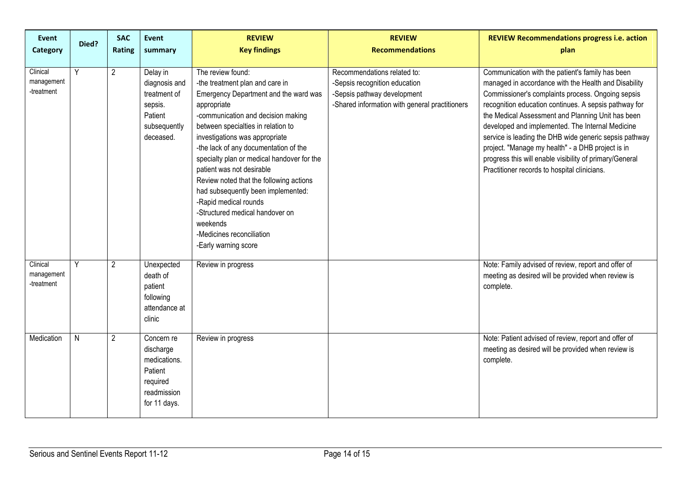| Event<br>Category                    | Died?          | <b>SAC</b><br>Rating  | Event<br>summary                                                                              | <b>REVIEW</b><br><b>Key findings</b>                                                                                                                                                                                                                                                                                                                                                                                                                                                                                                                         | <b>REVIEW</b><br><b>Recommendations</b>                                                                                                       | <b>REVIEW Recommendations progress i.e. action</b><br>plan                                                                                                                                                                                                                                                                                                                                                                                                                                                                                                |
|--------------------------------------|----------------|-----------------------|-----------------------------------------------------------------------------------------------|--------------------------------------------------------------------------------------------------------------------------------------------------------------------------------------------------------------------------------------------------------------------------------------------------------------------------------------------------------------------------------------------------------------------------------------------------------------------------------------------------------------------------------------------------------------|-----------------------------------------------------------------------------------------------------------------------------------------------|-----------------------------------------------------------------------------------------------------------------------------------------------------------------------------------------------------------------------------------------------------------------------------------------------------------------------------------------------------------------------------------------------------------------------------------------------------------------------------------------------------------------------------------------------------------|
| Clinical<br>management<br>-treatment | $\overline{Y}$ | $\overline{2}$        | Delay in<br>diagnosis and<br>treatment of<br>sepsis.<br>Patient<br>subsequently<br>deceased.  | The review found:<br>-the treatment plan and care in<br>Emergency Department and the ward was<br>appropriate<br>-communication and decision making<br>between specialties in relation to<br>investigations was appropriate<br>-the lack of any documentation of the<br>specialty plan or medical handover for the<br>patient was not desirable<br>Review noted that the following actions<br>had subsequently been implemented:<br>-Rapid medical rounds<br>-Structured medical handover on<br>weekends<br>-Medicines reconciliation<br>-Early warning score | Recommendations related to:<br>-Sepsis recognition education<br>-Sepsis pathway development<br>-Shared information with general practitioners | Communication with the patient's family has been<br>managed in accordance with the Health and Disability<br>Commissioner's complaints process. Ongoing sepsis<br>recognition education continues. A sepsis pathway for<br>the Medical Assessment and Planning Unit has been<br>developed and implemented. The Internal Medicine<br>service is leading the DHB wide generic sepsis pathway<br>project. "Manage my health" - a DHB project is in<br>progress this will enable visibility of primary/General<br>Practitioner records to hospital clinicians. |
| Clinical<br>management<br>-treatment | Y              | $\mathbf{2}^{\prime}$ | Unexpected<br>death of<br>patient<br>following<br>attendance at<br>clinic                     | Review in progress                                                                                                                                                                                                                                                                                                                                                                                                                                                                                                                                           |                                                                                                                                               | Note: Family advised of review, report and offer of<br>meeting as desired will be provided when review is<br>complete.                                                                                                                                                                                                                                                                                                                                                                                                                                    |
| Medication                           | N              | $\overline{2}$        | Concern re<br>discharge<br>medications.<br>Patient<br>required<br>readmission<br>for 11 days. | Review in progress                                                                                                                                                                                                                                                                                                                                                                                                                                                                                                                                           |                                                                                                                                               | Note: Patient advised of review, report and offer of<br>meeting as desired will be provided when review is<br>complete.                                                                                                                                                                                                                                                                                                                                                                                                                                   |